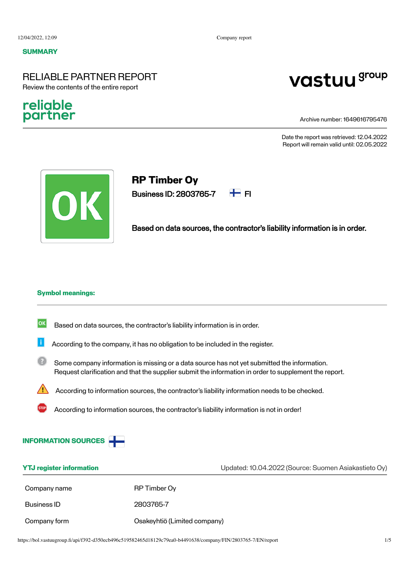#### **SUMMARY**

# RELIABLE PARTNER REPORT Review the contents of the entire report

# religble partner

# vastuu group

Archive number: 1649616795476

Date the report was retrieved: 12.04.2022 Report will remain valid until: 02.05.2022



# **RP Timber Oy**

Business ID: 2803765-7  $\pm$  FI



Based on data sources, the contractor's liability information is in order.

#### **Symbol meanings:**

- $|\mathsf{ok}|$ Based on data sources, the contractor's liability information is in order.
- Ħ According to the company, it has no obligation to be included in the register.
- $(2)$ Some company information is missing or a data source has not yet submitted the information. Request clarification and that the supplier submit the information in order to supplement the report.
	- According to information sources, the contractor's liability information needs to be checked.
		- According to information sources, the contractor's liability information is not in order!



| <b>YTJ register information</b> |                              | Updated: 10.04.2022 (Source: Suomen Asiakastieto Oy) |  |
|---------------------------------|------------------------------|------------------------------------------------------|--|
| Company name                    | RP Timber Oy                 |                                                      |  |
| Business ID                     | 2803765-7                    |                                                      |  |
| Company form                    | Osakeyhtiö (Limited company) |                                                      |  |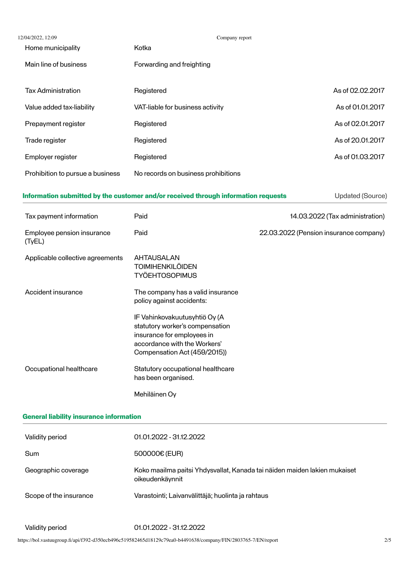| 12/04/2022, 12:09                    | Company report                                                                                                                                                 |                                        |
|--------------------------------------|----------------------------------------------------------------------------------------------------------------------------------------------------------------|----------------------------------------|
| Home municipality                    | Kotka                                                                                                                                                          |                                        |
| Main line of business                | Forwarding and freighting                                                                                                                                      |                                        |
| <b>Tax Administration</b>            | Registered                                                                                                                                                     | As of 02.02.2017                       |
| Value added tax-liability            | VAT-liable for business activity                                                                                                                               | As of 01.01.2017                       |
| Prepayment register                  | Registered                                                                                                                                                     | As of 02.01.2017                       |
| Trade register                       | Registered                                                                                                                                                     | As of 20.01.2017                       |
| Employer register                    | Registered                                                                                                                                                     | As of 01.03.2017                       |
| Prohibition to pursue a business     | No records on business prohibitions                                                                                                                            |                                        |
|                                      | Information submitted by the customer and/or received through information requests                                                                             | <b>Updated (Source)</b>                |
| Tax payment information              | Paid                                                                                                                                                           | 14.03.2022 (Tax administration)        |
| Employee pension insurance<br>(TyEL) | Paid                                                                                                                                                           | 22.03.2022 (Pension insurance company) |
| Applicable collective agreements     | <b>AHTAUSALAN</b><br><b>TOIMIHENKILÖIDEN</b><br><b>TYÖEHTOSOPIMUS</b>                                                                                          |                                        |
| Accident insurance                   | The company has a valid insurance<br>policy against accidents:                                                                                                 |                                        |
|                                      | IF Vahinkovakuutusyhtiö Oy (A<br>statutory worker's compensation<br>insurance for employees in<br>accordance with the Workers'<br>Compensation Act (459/2015)) |                                        |
| Occupational healthcare              | Statutory occupational healthcare<br>has been organised.                                                                                                       |                                        |
|                                      | Mehiläinen Oy                                                                                                                                                  |                                        |

# **General liability insurance information**

| Validity period        | 01.01.2022 - 31.12.2022                                                                      |
|------------------------|----------------------------------------------------------------------------------------------|
| Sum                    | 500000€ (EUR)                                                                                |
| Geographic coverage    | Koko maailma paitsi Yhdysvallat, Kanada tai näiden maiden lakien mukaiset<br>oikeudenkäynnit |
| Scope of the insurance | Varastointi; Laivanvälittäjä; huolinta ja rahtaus                                            |
|                        |                                                                                              |

Validity period 01.01.2022 - 31.12.2022

https://bol.vastuugroup.fi/api/f392-d350ecb496c519582465d18129c79ea0-b4491638/company/FIN/2803765-7/EN/report 2/5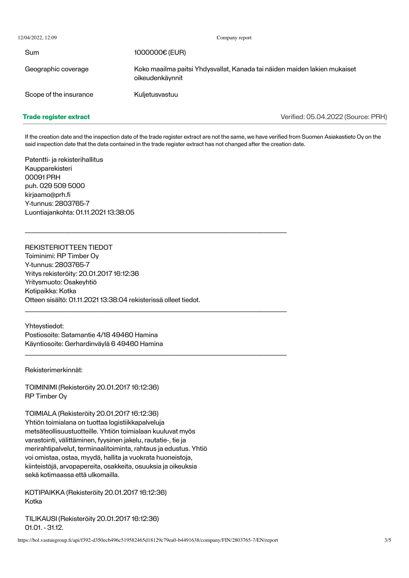12/04/2022, 12:09 Company report

Sum 1000000€ (EUR) Geographic coverage Koko maailma paitsi Yhdysvallat, Kanada tai näiden maiden lakien mukaiset oikeudenkäynnit Scope of the insurance Kulietusvastuu

## **Trade register extract**

Verified: 05.04.2022 (Source: PRH)

If the creation date and the inspection date of the trade register extract are not the same, we have verified from Suomen Asiakastieto Oy on the said inspection date that the data contained in the trade register extract has not changed after the creation date.

Patentti- ja rekisterihallitus Kaupparekisteri 00091 PRH puh. 029 509 5000 kirjaamo@prh.fi Y-tunnus: 2803765-7 Luontiajankohta: 01.11.2021 13:38:05

REKISTERIOTTEEN TIEDOT Toiminimi: RP Timber Oy Y-tunnus: 2803765-7 Yritys rekisteröity: 20.01.2017 16:12:36 Yritysmuoto: Osakeyhtiö Kotipaikka: Kotka Otteen sisältö: 01.11.2021 13:38:04 rekisterissä olleet tiedot.

\_\_\_\_\_\_\_\_\_\_\_\_\_\_\_\_\_\_\_\_\_\_\_\_\_\_\_\_\_\_\_\_\_\_\_\_\_\_\_\_\_\_\_\_\_\_\_\_\_\_\_\_\_\_\_\_\_\_\_\_\_\_\_\_\_\_\_\_\_\_\_\_\_\_\_\_\_\_\_\_

\_\_\_\_\_\_\_\_\_\_\_\_\_\_\_\_\_\_\_\_\_\_\_\_\_\_\_\_\_\_\_\_\_\_\_\_\_\_\_\_\_\_\_\_\_\_\_\_\_\_\_\_\_\_\_\_\_\_\_\_\_\_\_\_\_\_\_\_\_\_\_\_\_\_\_\_\_\_\_\_

\_\_\_\_\_\_\_\_\_\_\_\_\_\_\_\_\_\_\_\_\_\_\_\_\_\_\_\_\_\_\_\_\_\_\_\_\_\_\_\_\_\_\_\_\_\_\_\_\_\_\_\_\_\_\_\_\_\_\_\_\_\_\_\_\_\_\_\_\_\_\_\_\_\_\_\_\_\_\_\_

Yhteystiedot: Postiosoite: Satamantie 4/18 49460 Hamina Käyntiosoite: Gerhardinväylä 6 49460 Hamina

Rekisterimerkinnät:

TOIMINIMI (Rekisteröity 20.01.2017 16:12:36) RP Timber Oy

TOIMIALA (Rekisteröity 20.01.2017 16:12:36) Yhtiön toimialana on tuottaa logistiikkapalveluja metsäteollisuustuotteille. Yhtiön toimialaan kuuluvat myös varastointi, välittäminen, fyysinen jakelu, rautatie-, tie ja merirahtipalvelut, terminaalitoiminta, rahtaus ja edustus. Yhtiö voi omistaa, ostaa, myydä, hallita ja vuokrata huoneistoja, kiinteistöjä, arvopapereita, osakkeita, osuuksia ja oikeuksia sekä kotimaassa että ulkomailla.

KOTIPAIKKA (Rekisteröity 20.01.2017 16:12:36) Kotka

TILIKAUSI (Rekisteröity 20.01.2017 16:12:36) 01.01. - 31.12.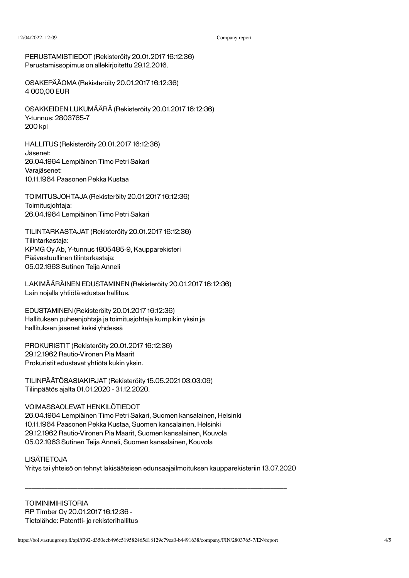PERUSTAMISTIEDOT (Rekisteröity 20.01.2017 16:12:36) Perustamissopimus on allekirjoitettu 29.12.2016.

OSAKEPÄÄOMA (Rekisteröity 20.01.2017 16:12:36) 4 000,00 EUR

OSAKKEIDEN LUKUMÄÄRÄ (Rekisteröity 20.01.2017 16:12:36) Y-tunnus: 2803765-7 200 kpl

HALLITUS (Rekisteröity 20.01.2017 16:12:36) Jäsenet: 26.04.1964 Lempiäinen Timo Petri Sakari Varajäsenet: 10.11.1964 Paasonen Pekka Kustaa

TOIMITUSJOHTAJA (Rekisteröity 20.01.2017 16:12:36) Toimitusjohtaja: 26.04.1964 Lempiäinen Timo Petri Sakari

TILINTARKASTAJAT (Rekisteröity 20.01.2017 16:12:36) Tilintarkastaja: KPMG Oy Ab, Y-tunnus 1805485-9, Kaupparekisteri Päävastuullinen tilintarkastaja: 05.02.1963 Sutinen Teija Anneli

LAKIMÄÄRÄINEN EDUSTAMINEN (Rekisteröity 20.01.2017 16:12:36) Lain nojalla yhtiötä edustaa hallitus.

EDUSTAMINEN (Rekisteröity 20.01.2017 16:12:36) Hallituksen puheenjohtaja ja toimitusjohtaja kumpikin yksin ja hallituksen jäsenet kaksi yhdessä

PROKURISTIT (Rekisteröity 20.01.2017 16:12:36) 29.12.1962 Rautio-Vironen Pia Maarit Prokuristit edustavat yhtiötä kukin yksin.

TILINPÄÄTÖSASIAKIRJAT (Rekisteröity 15.05.2021 03:03:09) Tilinpäätös ajalta 01.01.2020 - 31.12.2020.

### VOIMASSAOLEVAT HENKILÖTIEDOT

26.04.1964 Lempiäinen Timo Petri Sakari, Suomen kansalainen, Helsinki 10.11.1964 Paasonen Pekka Kustaa, Suomen kansalainen, Helsinki 29.12.1962 Rautio-Vironen Pia Maarit, Suomen kansalainen, Kouvola 05.02.1963 Sutinen Teija Anneli, Suomen kansalainen, Kouvola

LISÄTIETOJA Yritys tai yhteisö on tehnyt lakisääteisen edunsaajailmoituksen kaupparekisteriin 13.07.2020

\_\_\_\_\_\_\_\_\_\_\_\_\_\_\_\_\_\_\_\_\_\_\_\_\_\_\_\_\_\_\_\_\_\_\_\_\_\_\_\_\_\_\_\_\_\_\_\_\_\_\_\_\_\_\_\_\_\_\_\_\_\_\_\_\_\_\_\_\_\_\_\_\_\_\_\_\_\_\_\_

**TOIMINIMIHISTORIA** RP Timber Oy 20.01.2017 16:12:36 - Tietolähde: Patentti- ja rekisterihallitus